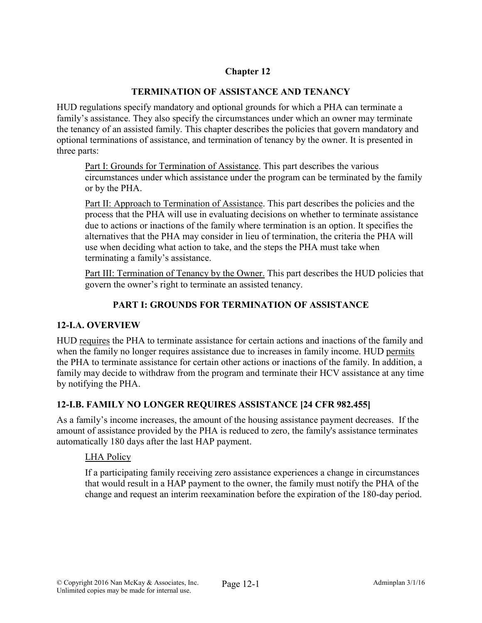# Chapter 12

### TERMINATION OF ASSISTANCE AND TENANCY

HUD regulations specify mandatory and optional grounds for which a PHA can terminate a family's assistance. They also specify the circumstances under which an owner may terminate the tenancy of an assisted family. This chapter describes the policies that govern mandatory and optional terminations of assistance, and termination of tenancy by the owner. It is presented in three parts:

Part I: Grounds for Termination of Assistance. This part describes the various circumstances under which assistance under the program can be terminated by the family or by the PHA.

Part II: Approach to Termination of Assistance. This part describes the policies and the process that the PHA will use in evaluating decisions on whether to terminate assistance due to actions or inactions of the family where termination is an option. It specifies the alternatives that the PHA may consider in lieu of termination, the criteria the PHA will use when deciding what action to take, and the steps the PHA must take when terminating a family's assistance.

Part III: Termination of Tenancy by the Owner. This part describes the HUD policies that govern the owner's right to terminate an assisted tenancy.

# PART I: GROUNDS FOR TERMINATION OF ASSISTANCE

#### 12-I.A. OVERVIEW

HUD requires the PHA to terminate assistance for certain actions and inactions of the family and when the family no longer requires assistance due to increases in family income. HUD permits the PHA to terminate assistance for certain other actions or inactions of the family. In addition, a family may decide to withdraw from the program and terminate their HCV assistance at any time by notifying the PHA.

# 12-I.B. FAMILY NO LONGER REQUIRES ASSISTANCE [24 CFR 982.455]

As a family's income increases, the amount of the housing assistance payment decreases. If the amount of assistance provided by the PHA is reduced to zero, the family's assistance terminates automatically 180 days after the last HAP payment.

#### LHA Policy

If a participating family receiving zero assistance experiences a change in circumstances that would result in a HAP payment to the owner, the family must notify the PHA of the change and request an interim reexamination before the expiration of the 180-day period.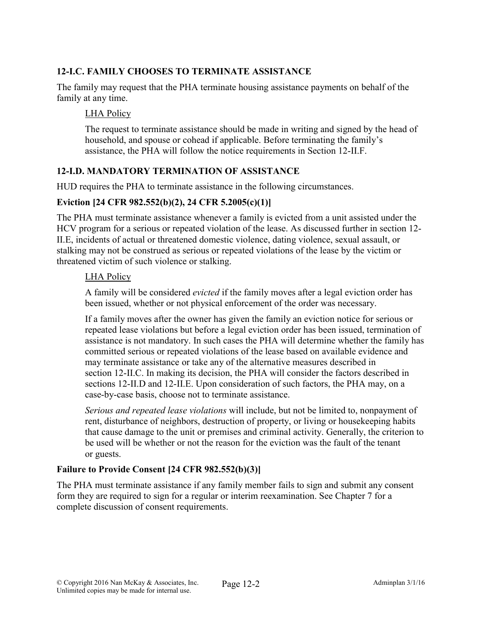# 12-I.C. FAMILY CHOOSES TO TERMINATE ASSISTANCE

The family may request that the PHA terminate housing assistance payments on behalf of the family at any time.

#### LHA Policy

The request to terminate assistance should be made in writing and signed by the head of household, and spouse or cohead if applicable. Before terminating the family's assistance, the PHA will follow the notice requirements in Section 12-II.F.

#### 12-I.D. MANDATORY TERMINATION OF ASSISTANCE

HUD requires the PHA to terminate assistance in the following circumstances.

#### Eviction [24 CFR 982.552(b)(2), 24 CFR 5.2005(c)(1)]

The PHA must terminate assistance whenever a family is evicted from a unit assisted under the HCV program for a serious or repeated violation of the lease. As discussed further in section 12- II.E, incidents of actual or threatened domestic violence, dating violence, sexual assault, or stalking may not be construed as serious or repeated violations of the lease by the victim or threatened victim of such violence or stalking.

#### LHA Policy

A family will be considered *evicted* if the family moves after a legal eviction order has been issued, whether or not physical enforcement of the order was necessary.

If a family moves after the owner has given the family an eviction notice for serious or repeated lease violations but before a legal eviction order has been issued, termination of assistance is not mandatory. In such cases the PHA will determine whether the family has committed serious or repeated violations of the lease based on available evidence and may terminate assistance or take any of the alternative measures described in section 12-II.C. In making its decision, the PHA will consider the factors described in sections 12-II.D and 12-II.E. Upon consideration of such factors, the PHA may, on a case-by-case basis, choose not to terminate assistance.

*Serious and repeated lease violations* will include, but not be limited to, nonpayment of rent, disturbance of neighbors, destruction of property, or living or housekeeping habits that cause damage to the unit or premises and criminal activity. Generally, the criterion to be used will be whether or not the reason for the eviction was the fault of the tenant or guests.

#### Failure to Provide Consent [24 CFR 982.552(b)(3)]

The PHA must terminate assistance if any family member fails to sign and submit any consent form they are required to sign for a regular or interim reexamination. See Chapter 7 for a complete discussion of consent requirements.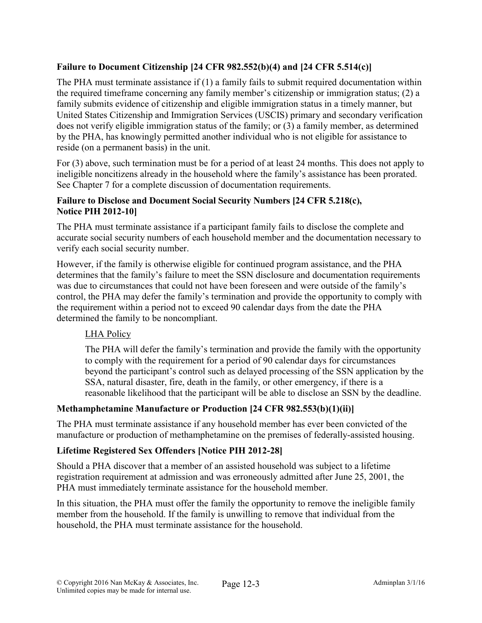### Failure to Document Citizenship [24 CFR 982.552(b)(4) and [24 CFR 5.514(c)]

The PHA must terminate assistance if (1) a family fails to submit required documentation within the required timeframe concerning any family member's citizenship or immigration status; (2) a family submits evidence of citizenship and eligible immigration status in a timely manner, but United States Citizenship and Immigration Services (USCIS) primary and secondary verification does not verify eligible immigration status of the family; or (3) a family member, as determined by the PHA, has knowingly permitted another individual who is not eligible for assistance to reside (on a permanent basis) in the unit.

For (3) above, such termination must be for a period of at least 24 months. This does not apply to ineligible noncitizens already in the household where the family's assistance has been prorated. See Chapter 7 for a complete discussion of documentation requirements.

### Failure to Disclose and Document Social Security Numbers [24 CFR 5.218(c), Notice PIH 2012-10]

The PHA must terminate assistance if a participant family fails to disclose the complete and accurate social security numbers of each household member and the documentation necessary to verify each social security number.

However, if the family is otherwise eligible for continued program assistance, and the PHA determines that the family's failure to meet the SSN disclosure and documentation requirements was due to circumstances that could not have been foreseen and were outside of the family's control, the PHA may defer the family's termination and provide the opportunity to comply with the requirement within a period not to exceed 90 calendar days from the date the PHA determined the family to be noncompliant.

# LHA Policy

The PHA will defer the family's termination and provide the family with the opportunity to comply with the requirement for a period of 90 calendar days for circumstances beyond the participant's control such as delayed processing of the SSN application by the SSA, natural disaster, fire, death in the family, or other emergency, if there is a reasonable likelihood that the participant will be able to disclose an SSN by the deadline.

#### Methamphetamine Manufacture or Production [24 CFR 982.553(b)(1)(ii)]

The PHA must terminate assistance if any household member has ever been convicted of the manufacture or production of methamphetamine on the premises of federally-assisted housing.

#### Lifetime Registered Sex Offenders [Notice PIH 2012-28]

Should a PHA discover that a member of an assisted household was subject to a lifetime registration requirement at admission and was erroneously admitted after June 25, 2001, the PHA must immediately terminate assistance for the household member.

In this situation, the PHA must offer the family the opportunity to remove the ineligible family member from the household. If the family is unwilling to remove that individual from the household, the PHA must terminate assistance for the household.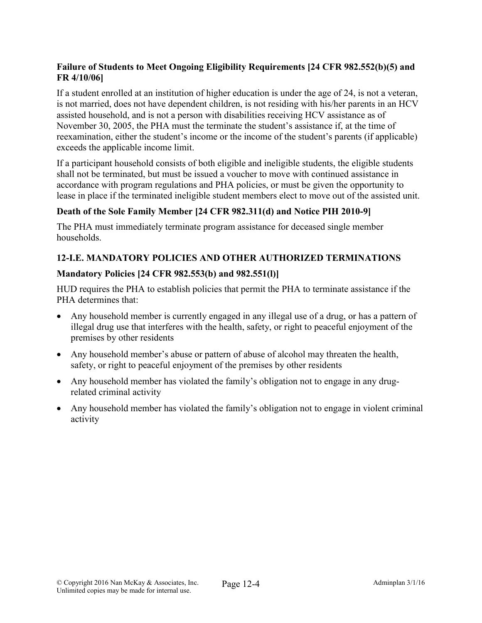### Failure of Students to Meet Ongoing Eligibility Requirements [24 CFR 982.552(b)(5) and FR 4/10/06]

If a student enrolled at an institution of higher education is under the age of 24, is not a veteran, is not married, does not have dependent children, is not residing with his/her parents in an HCV assisted household, and is not a person with disabilities receiving HCV assistance as of November 30, 2005, the PHA must the terminate the student's assistance if, at the time of reexamination, either the student's income or the income of the student's parents (if applicable) exceeds the applicable income limit.

If a participant household consists of both eligible and ineligible students, the eligible students shall not be terminated, but must be issued a voucher to move with continued assistance in accordance with program regulations and PHA policies, or must be given the opportunity to lease in place if the terminated ineligible student members elect to move out of the assisted unit.

# Death of the Sole Family Member [24 CFR 982.311(d) and Notice PIH 2010-9]

The PHA must immediately terminate program assistance for deceased single member households.

# 12-I.E. MANDATORY POLICIES AND OTHER AUTHORIZED TERMINATIONS

### Mandatory Policies [24 CFR 982.553(b) and 982.551(l)]

HUD requires the PHA to establish policies that permit the PHA to terminate assistance if the PHA determines that:

- Any household member is currently engaged in any illegal use of a drug, or has a pattern of illegal drug use that interferes with the health, safety, or right to peaceful enjoyment of the premises by other residents
- Any household member's abuse or pattern of abuse of alcohol may threaten the health, safety, or right to peaceful enjoyment of the premises by other residents
- Any household member has violated the family's obligation not to engage in any drugrelated criminal activity
- Any household member has violated the family's obligation not to engage in violent criminal activity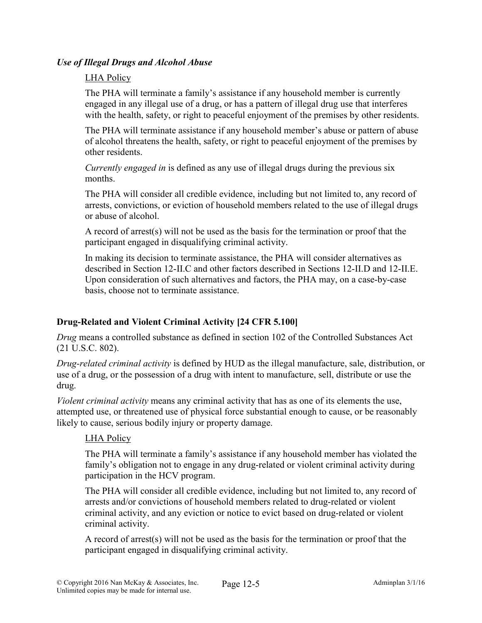#### *Use of Illegal Drugs and Alcohol Abuse*

### LHA Policy

The PHA will terminate a family's assistance if any household member is currently engaged in any illegal use of a drug, or has a pattern of illegal drug use that interferes with the health, safety, or right to peaceful enjoyment of the premises by other residents.

The PHA will terminate assistance if any household member's abuse or pattern of abuse of alcohol threatens the health, safety, or right to peaceful enjoyment of the premises by other residents.

*Currently engaged in* is defined as any use of illegal drugs during the previous six months.

The PHA will consider all credible evidence, including but not limited to, any record of arrests, convictions, or eviction of household members related to the use of illegal drugs or abuse of alcohol.

A record of arrest(s) will not be used as the basis for the termination or proof that the participant engaged in disqualifying criminal activity.

In making its decision to terminate assistance, the PHA will consider alternatives as described in Section 12-II.C and other factors described in Sections 12-II.D and 12-II.E. Upon consideration of such alternatives and factors, the PHA may, on a case-by-case basis, choose not to terminate assistance.

# Drug-Related and Violent Criminal Activity [24 CFR 5.100]

*Drug* means a controlled substance as defined in section 102 of the Controlled Substances Act (21 U.S.C. 802).

*Drug-related criminal activity* is defined by HUD as the illegal manufacture, sale, distribution, or use of a drug, or the possession of a drug with intent to manufacture, sell, distribute or use the drug.

*Violent criminal activity* means any criminal activity that has as one of its elements the use, attempted use, or threatened use of physical force substantial enough to cause, or be reasonably likely to cause, serious bodily injury or property damage.

# LHA Policy

The PHA will terminate a family's assistance if any household member has violated the family's obligation not to engage in any drug-related or violent criminal activity during participation in the HCV program.

The PHA will consider all credible evidence, including but not limited to, any record of arrests and/or convictions of household members related to drug-related or violent criminal activity, and any eviction or notice to evict based on drug-related or violent criminal activity.

A record of arrest(s) will not be used as the basis for the termination or proof that the participant engaged in disqualifying criminal activity.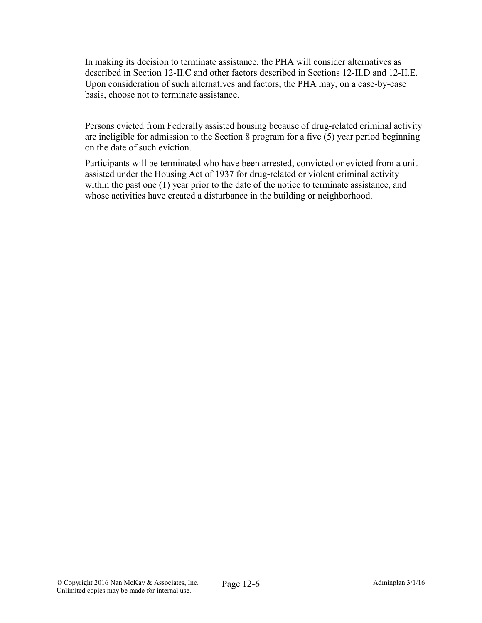In making its decision to terminate assistance, the PHA will consider alternatives as described in Section 12-II.C and other factors described in Sections 12-II.D and 12-II.E. Upon consideration of such alternatives and factors, the PHA may, on a case-by-case basis, choose not to terminate assistance.

Persons evicted from Federally assisted housing because of drug-related criminal activity are ineligible for admission to the Section 8 program for a five (5) year period beginning on the date of such eviction.

Participants will be terminated who have been arrested, convicted or evicted from a unit assisted under the Housing Act of 1937 for drug-related or violent criminal activity within the past one (1) year prior to the date of the notice to terminate assistance, and whose activities have created a disturbance in the building or neighborhood.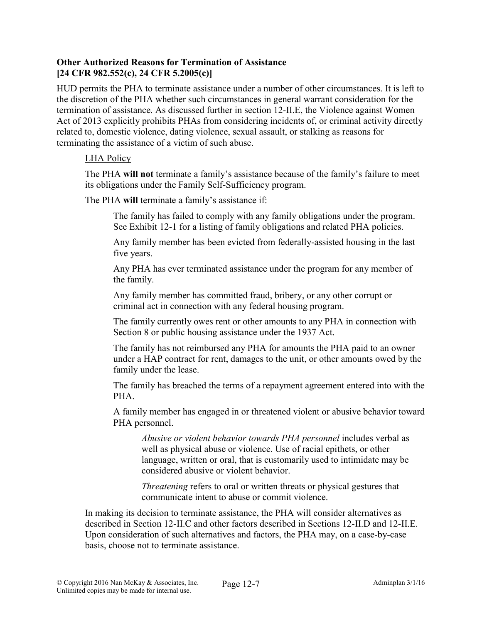#### Other Authorized Reasons for Termination of Assistance [24 CFR 982.552(c), 24 CFR 5.2005(c)]

HUD permits the PHA to terminate assistance under a number of other circumstances. It is left to the discretion of the PHA whether such circumstances in general warrant consideration for the termination of assistance. As discussed further in section 12-II.E, the Violence against Women Act of 2013 explicitly prohibits PHAs from considering incidents of, or criminal activity directly related to, domestic violence, dating violence, sexual assault, or stalking as reasons for terminating the assistance of a victim of such abuse.

#### LHA Policy

The PHA will not terminate a family's assistance because of the family's failure to meet its obligations under the Family Self-Sufficiency program.

The PHA will terminate a family's assistance if:

The family has failed to comply with any family obligations under the program. See Exhibit 12-1 for a listing of family obligations and related PHA policies.

Any family member has been evicted from federally-assisted housing in the last five years.

Any PHA has ever terminated assistance under the program for any member of the family.

Any family member has committed fraud, bribery, or any other corrupt or criminal act in connection with any federal housing program.

The family currently owes rent or other amounts to any PHA in connection with Section 8 or public housing assistance under the 1937 Act.

The family has not reimbursed any PHA for amounts the PHA paid to an owner under a HAP contract for rent, damages to the unit, or other amounts owed by the family under the lease.

The family has breached the terms of a repayment agreement entered into with the PHA.

A family member has engaged in or threatened violent or abusive behavior toward PHA personnel.

*Abusive or violent behavior towards PHA personnel* includes verbal as well as physical abuse or violence. Use of racial epithets, or other language, written or oral, that is customarily used to intimidate may be considered abusive or violent behavior.

*Threatening* refers to oral or written threats or physical gestures that communicate intent to abuse or commit violence.

In making its decision to terminate assistance, the PHA will consider alternatives as described in Section 12-II.C and other factors described in Sections 12-II.D and 12-II.E. Upon consideration of such alternatives and factors, the PHA may, on a case-by-case basis, choose not to terminate assistance.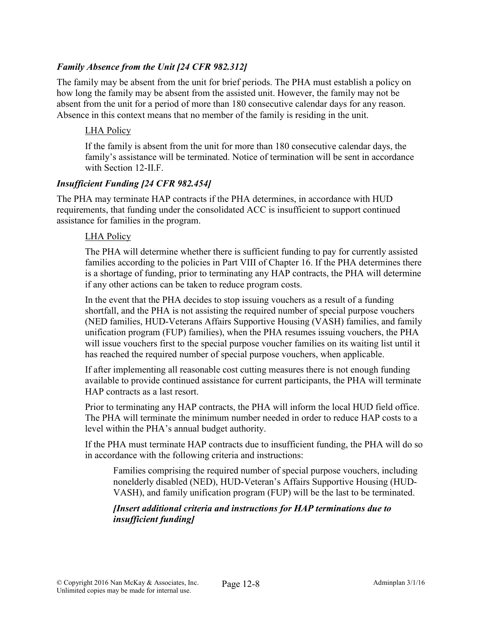### *Family Absence from the Unit [24 CFR 982.312]*

The family may be absent from the unit for brief periods. The PHA must establish a policy on how long the family may be absent from the assisted unit. However, the family may not be absent from the unit for a period of more than 180 consecutive calendar days for any reason. Absence in this context means that no member of the family is residing in the unit.

### LHA Policy

If the family is absent from the unit for more than 180 consecutive calendar days, the family's assistance will be terminated. Notice of termination will be sent in accordance with Section 12-II.F.

#### *Insufficient Funding [24 CFR 982.454]*

The PHA may terminate HAP contracts if the PHA determines, in accordance with HUD requirements, that funding under the consolidated ACC is insufficient to support continued assistance for families in the program.

#### LHA Policy

The PHA will determine whether there is sufficient funding to pay for currently assisted families according to the policies in Part VIII of Chapter 16. If the PHA determines there is a shortage of funding, prior to terminating any HAP contracts, the PHA will determine if any other actions can be taken to reduce program costs.

In the event that the PHA decides to stop issuing vouchers as a result of a funding shortfall, and the PHA is not assisting the required number of special purpose vouchers (NED families, HUD-Veterans Affairs Supportive Housing (VASH) families, and family unification program (FUP) families), when the PHA resumes issuing vouchers, the PHA will issue vouchers first to the special purpose voucher families on its waiting list until it has reached the required number of special purpose vouchers, when applicable.

If after implementing all reasonable cost cutting measures there is not enough funding available to provide continued assistance for current participants, the PHA will terminate HAP contracts as a last resort.

Prior to terminating any HAP contracts, the PHA will inform the local HUD field office. The PHA will terminate the minimum number needed in order to reduce HAP costs to a level within the PHA's annual budget authority.

If the PHA must terminate HAP contracts due to insufficient funding, the PHA will do so in accordance with the following criteria and instructions:

Families comprising the required number of special purpose vouchers, including nonelderly disabled (NED), HUD-Veteran's Affairs Supportive Housing (HUD-VASH), and family unification program (FUP) will be the last to be terminated.

#### *[Insert additional criteria and instructions for HAP terminations due to insufficient funding]*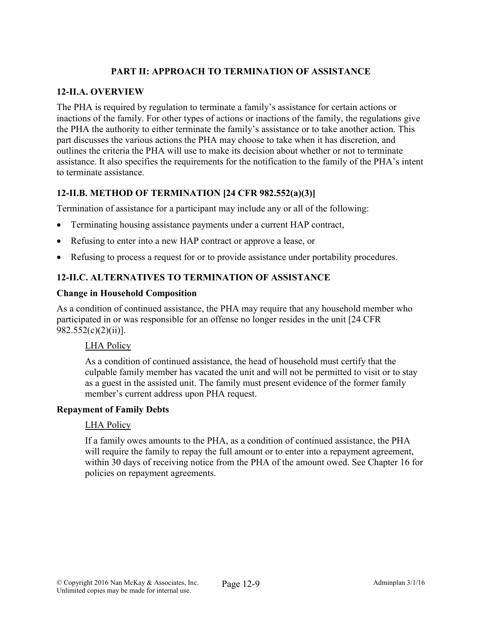### PART II: APPROACH TO TERMINATION OF ASSISTANCE

#### 12-II.A. OVERVIEW

The PHA is required by regulation to terminate a family's assistance for certain actions or inactions of the family. For other types of actions or inactions of the family, the regulations give the PHA the authority to either terminate the family's assistance or to take another action. This part discusses the various actions the PHA may choose to take when it has discretion, and outlines the criteria the PHA will use to make its decision about whether or not to terminate assistance. It also specifies the requirements for the notification to the family of the PHA's intent to terminate assistance.

# 12-II.B. METHOD OF TERMINATION [24 CFR 982.552(a)(3)]

Termination of assistance for a participant may include any or all of the following:

- Terminating housing assistance payments under a current HAP contract,
- Refusing to enter into a new HAP contract or approve a lease, or
- Refusing to process a request for or to provide assistance under portability procedures.

### 12-II.C. ALTERNATIVES TO TERMINATION OF ASSISTANCE

#### Change in Household Composition

As a condition of continued assistance, the PHA may require that any household member who participated in or was responsible for an offense no longer resides in the unit [24 CFR 982.552(c)(2)(ii)].

#### LHA Policy

As a condition of continued assistance, the head of household must certify that the culpable family member has vacated the unit and will not be permitted to visit or to stay as a guest in the assisted unit. The family must present evidence of the former family member's current address upon PHA request.

#### Repayment of Family Debts

#### LHA Policy

If a family owes amounts to the PHA, as a condition of continued assistance, the PHA will require the family to repay the full amount or to enter into a repayment agreement, within 30 days of receiving notice from the PHA of the amount owed. See Chapter 16 for policies on repayment agreements.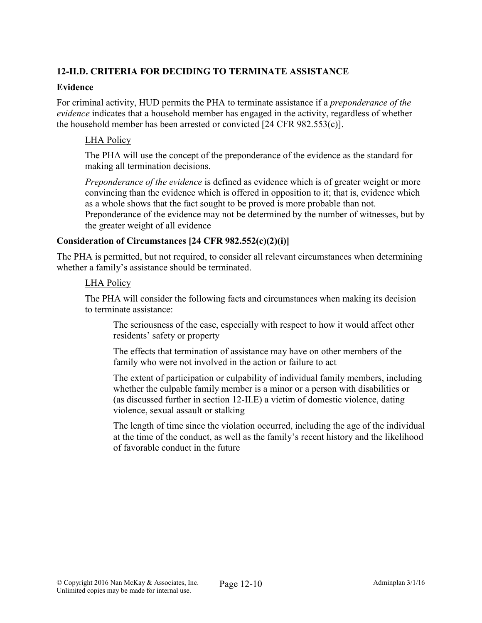# 12-II.D. CRITERIA FOR DECIDING TO TERMINATE ASSISTANCE

#### Evidence

For criminal activity, HUD permits the PHA to terminate assistance if a *preponderance of the evidence* indicates that a household member has engaged in the activity, regardless of whether the household member has been arrested or convicted [24 CFR 982.553(c)].

### LHA Policy

The PHA will use the concept of the preponderance of the evidence as the standard for making all termination decisions.

*Preponderance of the evidence* is defined as evidence which is of greater weight or more convincing than the evidence which is offered in opposition to it; that is, evidence which as a whole shows that the fact sought to be proved is more probable than not. Preponderance of the evidence may not be determined by the number of witnesses, but by

the greater weight of all evidence

### Consideration of Circumstances [24 CFR 982.552(c)(2)(i)]

The PHA is permitted, but not required, to consider all relevant circumstances when determining whether a family's assistance should be terminated.

#### LHA Policy

The PHA will consider the following facts and circumstances when making its decision to terminate assistance:

The seriousness of the case, especially with respect to how it would affect other residents' safety or property

The effects that termination of assistance may have on other members of the family who were not involved in the action or failure to act

The extent of participation or culpability of individual family members, including whether the culpable family member is a minor or a person with disabilities or (as discussed further in section 12-II.E) a victim of domestic violence, dating violence, sexual assault or stalking

The length of time since the violation occurred, including the age of the individual at the time of the conduct, as well as the family's recent history and the likelihood of favorable conduct in the future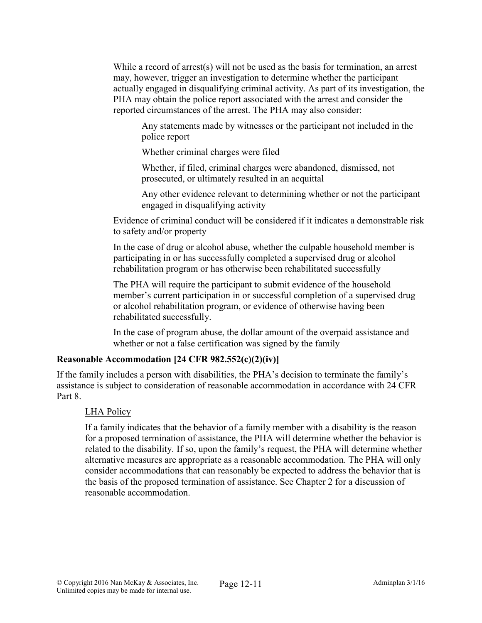While a record of arrest(s) will not be used as the basis for termination, an arrest may, however, trigger an investigation to determine whether the participant actually engaged in disqualifying criminal activity. As part of its investigation, the PHA may obtain the police report associated with the arrest and consider the reported circumstances of the arrest. The PHA may also consider:

Any statements made by witnesses or the participant not included in the police report

Whether criminal charges were filed

Whether, if filed, criminal charges were abandoned, dismissed, not prosecuted, or ultimately resulted in an acquittal

Any other evidence relevant to determining whether or not the participant engaged in disqualifying activity

Evidence of criminal conduct will be considered if it indicates a demonstrable risk to safety and/or property

In the case of drug or alcohol abuse, whether the culpable household member is participating in or has successfully completed a supervised drug or alcohol rehabilitation program or has otherwise been rehabilitated successfully

The PHA will require the participant to submit evidence of the household member's current participation in or successful completion of a supervised drug or alcohol rehabilitation program, or evidence of otherwise having been rehabilitated successfully.

In the case of program abuse, the dollar amount of the overpaid assistance and whether or not a false certification was signed by the family

### Reasonable Accommodation [24 CFR 982.552(c)(2)(iv)]

If the family includes a person with disabilities, the PHA's decision to terminate the family's assistance is subject to consideration of reasonable accommodation in accordance with 24 CFR Part 8

#### LHA Policy

If a family indicates that the behavior of a family member with a disability is the reason for a proposed termination of assistance, the PHA will determine whether the behavior is related to the disability. If so, upon the family's request, the PHA will determine whether alternative measures are appropriate as a reasonable accommodation. The PHA will only consider accommodations that can reasonably be expected to address the behavior that is the basis of the proposed termination of assistance. See Chapter 2 for a discussion of reasonable accommodation.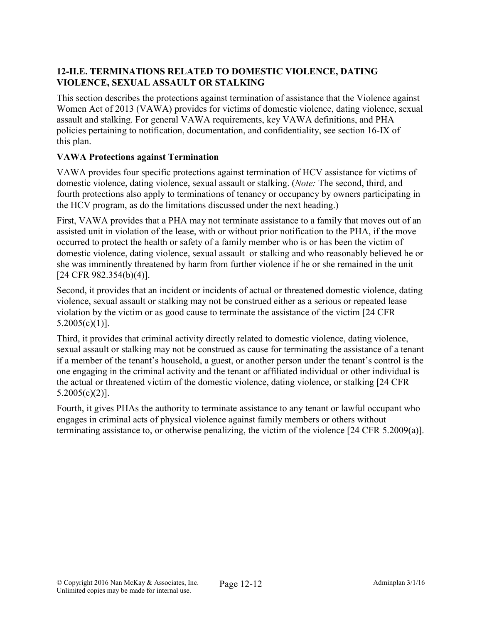### 12-II.E. TERMINATIONS RELATED TO DOMESTIC VIOLENCE, DATING VIOLENCE, SEXUAL ASSAULT OR STALKING

This section describes the protections against termination of assistance that the Violence against Women Act of 2013 (VAWA) provides for victims of domestic violence, dating violence, sexual assault and stalking. For general VAWA requirements, key VAWA definitions, and PHA policies pertaining to notification, documentation, and confidentiality, see section 16-IX of this plan.

# VAWA Protections against Termination

VAWA provides four specific protections against termination of HCV assistance for victims of domestic violence, dating violence, sexual assault or stalking. (*Note:* The second, third, and fourth protections also apply to terminations of tenancy or occupancy by owners participating in the HCV program, as do the limitations discussed under the next heading.)

First, VAWA provides that a PHA may not terminate assistance to a family that moves out of an assisted unit in violation of the lease, with or without prior notification to the PHA, if the move occurred to protect the health or safety of a family member who is or has been the victim of domestic violence, dating violence, sexual assault or stalking and who reasonably believed he or she was imminently threatened by harm from further violence if he or she remained in the unit [24 CFR 982.354(b)(4)].

Second, it provides that an incident or incidents of actual or threatened domestic violence, dating violence, sexual assault or stalking may not be construed either as a serious or repeated lease violation by the victim or as good cause to terminate the assistance of the victim [24 CFR  $5.2005(c)(1)$ ].

Third, it provides that criminal activity directly related to domestic violence, dating violence, sexual assault or stalking may not be construed as cause for terminating the assistance of a tenant if a member of the tenant's household, a guest, or another person under the tenant's control is the one engaging in the criminal activity and the tenant or affiliated individual or other individual is the actual or threatened victim of the domestic violence, dating violence, or stalking [24 CFR 5.2005(c)(2)].

Fourth, it gives PHAs the authority to terminate assistance to any tenant or lawful occupant who engages in criminal acts of physical violence against family members or others without terminating assistance to, or otherwise penalizing, the victim of the violence [24 CFR 5.2009(a)].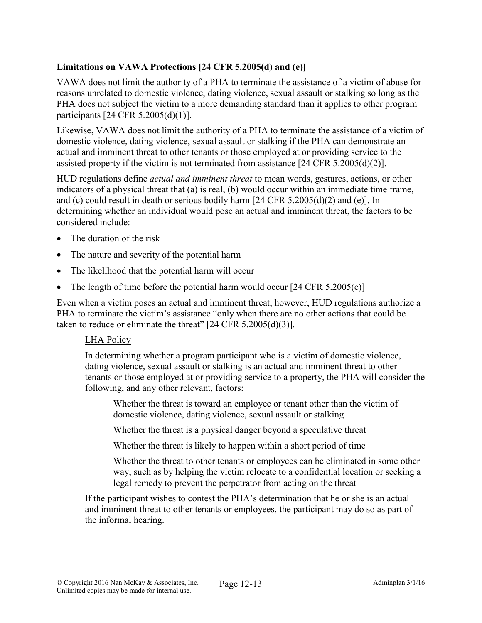### Limitations on VAWA Protections [24 CFR 5.2005(d) and (e)]

VAWA does not limit the authority of a PHA to terminate the assistance of a victim of abuse for reasons unrelated to domestic violence, dating violence, sexual assault or stalking so long as the PHA does not subject the victim to a more demanding standard than it applies to other program participants [24 CFR 5.2005(d)(1)].

Likewise, VAWA does not limit the authority of a PHA to terminate the assistance of a victim of domestic violence, dating violence, sexual assault or stalking if the PHA can demonstrate an actual and imminent threat to other tenants or those employed at or providing service to the assisted property if the victim is not terminated from assistance [24 CFR 5.2005(d)(2)].

HUD regulations define *actual and imminent threat* to mean words, gestures, actions, or other indicators of a physical threat that (a) is real, (b) would occur within an immediate time frame, and (c) could result in death or serious bodily harm [24 CFR 5.2005(d)(2) and (e)]. In determining whether an individual would pose an actual and imminent threat, the factors to be considered include:

- The duration of the risk
- The nature and severity of the potential harm
- The likelihood that the potential harm will occur
- The length of time before the potential harm would occur  $[24 \text{ CFR } 5.2005(e)]$

Even when a victim poses an actual and imminent threat, however, HUD regulations authorize a PHA to terminate the victim's assistance "only when there are no other actions that could be taken to reduce or eliminate the threat"  $[24 \text{ CFR } 5.2005 \text{ (d)}(3)]$ .

#### LHA Policy

In determining whether a program participant who is a victim of domestic violence, dating violence, sexual assault or stalking is an actual and imminent threat to other tenants or those employed at or providing service to a property, the PHA will consider the following, and any other relevant, factors:

Whether the threat is toward an employee or tenant other than the victim of domestic violence, dating violence, sexual assault or stalking

Whether the threat is a physical danger beyond a speculative threat

Whether the threat is likely to happen within a short period of time

Whether the threat to other tenants or employees can be eliminated in some other way, such as by helping the victim relocate to a confidential location or seeking a legal remedy to prevent the perpetrator from acting on the threat

If the participant wishes to contest the PHA's determination that he or she is an actual and imminent threat to other tenants or employees, the participant may do so as part of the informal hearing.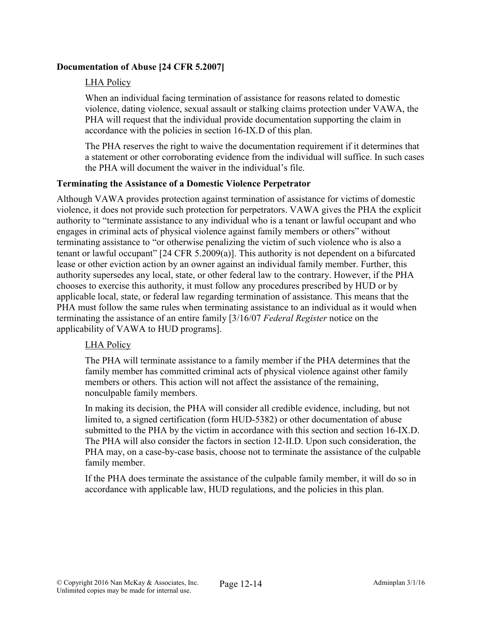### Documentation of Abuse [24 CFR 5.2007]

### LHA Policy

When an individual facing termination of assistance for reasons related to domestic violence, dating violence, sexual assault or stalking claims protection under VAWA, the PHA will request that the individual provide documentation supporting the claim in accordance with the policies in section 16-IX.D of this plan.

The PHA reserves the right to waive the documentation requirement if it determines that a statement or other corroborating evidence from the individual will suffice. In such cases the PHA will document the waiver in the individual's file.

#### Terminating the Assistance of a Domestic Violence Perpetrator

Although VAWA provides protection against termination of assistance for victims of domestic violence, it does not provide such protection for perpetrators. VAWA gives the PHA the explicit authority to "terminate assistance to any individual who is a tenant or lawful occupant and who engages in criminal acts of physical violence against family members or others" without terminating assistance to "or otherwise penalizing the victim of such violence who is also a tenant or lawful occupant" [24 CFR 5.2009(a)]. This authority is not dependent on a bifurcated lease or other eviction action by an owner against an individual family member. Further, this authority supersedes any local, state, or other federal law to the contrary. However, if the PHA chooses to exercise this authority, it must follow any procedures prescribed by HUD or by applicable local, state, or federal law regarding termination of assistance. This means that the PHA must follow the same rules when terminating assistance to an individual as it would when terminating the assistance of an entire family [3/16/07 *Federal Register* notice on the applicability of VAWA to HUD programs].

#### LHA Policy

The PHA will terminate assistance to a family member if the PHA determines that the family member has committed criminal acts of physical violence against other family members or others. This action will not affect the assistance of the remaining, nonculpable family members.

In making its decision, the PHA will consider all credible evidence, including, but not limited to, a signed certification (form HUD-5382) or other documentation of abuse submitted to the PHA by the victim in accordance with this section and section 16-IX.D. The PHA will also consider the factors in section 12-II.D. Upon such consideration, the PHA may, on a case-by-case basis, choose not to terminate the assistance of the culpable family member.

If the PHA does terminate the assistance of the culpable family member, it will do so in accordance with applicable law, HUD regulations, and the policies in this plan.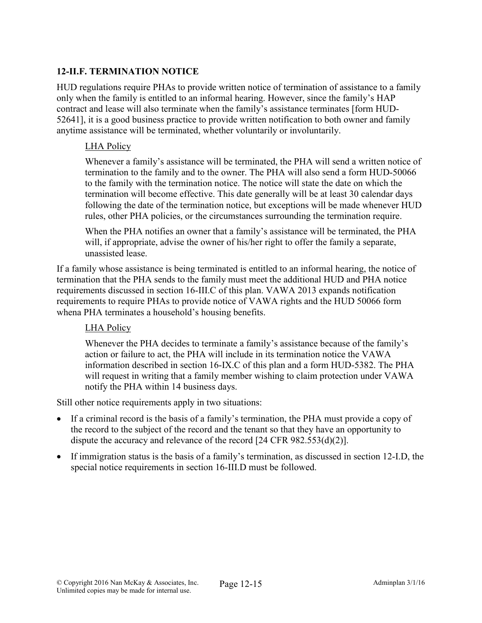### 12-II.F. TERMINATION NOTICE

HUD regulations require PHAs to provide written notice of termination of assistance to a family only when the family is entitled to an informal hearing. However, since the family's HAP contract and lease will also terminate when the family's assistance terminates [form HUD-52641], it is a good business practice to provide written notification to both owner and family anytime assistance will be terminated, whether voluntarily or involuntarily.

#### LHA Policy

Whenever a family's assistance will be terminated, the PHA will send a written notice of termination to the family and to the owner. The PHA will also send a form HUD-50066 to the family with the termination notice. The notice will state the date on which the termination will become effective. This date generally will be at least 30 calendar days following the date of the termination notice, but exceptions will be made whenever HUD rules, other PHA policies, or the circumstances surrounding the termination require.

When the PHA notifies an owner that a family's assistance will be terminated, the PHA will, if appropriate, advise the owner of his/her right to offer the family a separate, unassisted lease.

If a family whose assistance is being terminated is entitled to an informal hearing, the notice of termination that the PHA sends to the family must meet the additional HUD and PHA notice requirements discussed in section 16-III.C of this plan. VAWA 2013 expands notification requirements to require PHAs to provide notice of VAWA rights and the HUD 50066 form whena PHA terminates a household's housing benefits.

#### LHA Policy

Whenever the PHA decides to terminate a family's assistance because of the family's action or failure to act, the PHA will include in its termination notice the VAWA information described in section 16-IX.C of this plan and a form HUD-5382. The PHA will request in writing that a family member wishing to claim protection under VAWA notify the PHA within 14 business days.

Still other notice requirements apply in two situations:

- If a criminal record is the basis of a family's termination, the PHA must provide a copy of the record to the subject of the record and the tenant so that they have an opportunity to dispute the accuracy and relevance of the record [24 CFR 982.553(d)(2)].
- If immigration status is the basis of a family's termination, as discussed in section 12-I.D, the special notice requirements in section 16-III.D must be followed.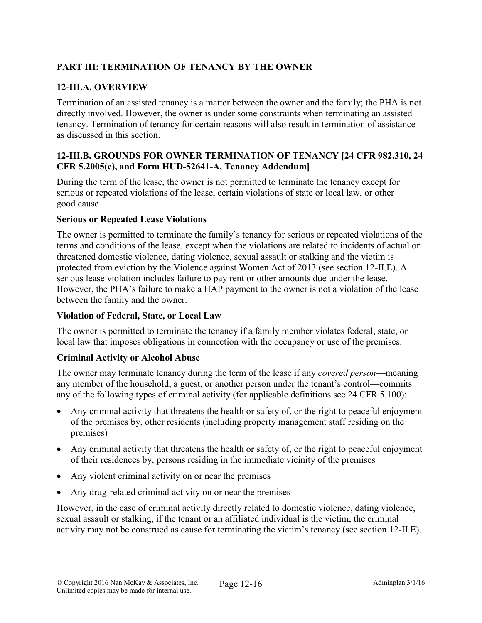# PART III: TERMINATION OF TENANCY BY THE OWNER

# 12-III.A. OVERVIEW

Termination of an assisted tenancy is a matter between the owner and the family; the PHA is not directly involved. However, the owner is under some constraints when terminating an assisted tenancy. Termination of tenancy for certain reasons will also result in termination of assistance as discussed in this section.

### 12-III.B. GROUNDS FOR OWNER TERMINATION OF TENANCY [24 CFR 982.310, 24 CFR 5.2005(c), and Form HUD-52641-A, Tenancy Addendum]

During the term of the lease, the owner is not permitted to terminate the tenancy except for serious or repeated violations of the lease, certain violations of state or local law, or other good cause.

#### Serious or Repeated Lease Violations

The owner is permitted to terminate the family's tenancy for serious or repeated violations of the terms and conditions of the lease, except when the violations are related to incidents of actual or threatened domestic violence, dating violence, sexual assault or stalking and the victim is protected from eviction by the Violence against Women Act of 2013 (see section 12-II.E). A serious lease violation includes failure to pay rent or other amounts due under the lease. However, the PHA's failure to make a HAP payment to the owner is not a violation of the lease between the family and the owner.

### Violation of Federal, State, or Local Law

The owner is permitted to terminate the tenancy if a family member violates federal, state, or local law that imposes obligations in connection with the occupancy or use of the premises.

# Criminal Activity or Alcohol Abuse

The owner may terminate tenancy during the term of the lease if any *covered person*—meaning any member of the household, a guest, or another person under the tenant's control—commits any of the following types of criminal activity (for applicable definitions see 24 CFR 5.100):

- Any criminal activity that threatens the health or safety of, or the right to peaceful enjoyment of the premises by, other residents (including property management staff residing on the premises)
- Any criminal activity that threatens the health or safety of, or the right to peaceful enjoyment of their residences by, persons residing in the immediate vicinity of the premises
- Any violent criminal activity on or near the premises
- Any drug-related criminal activity on or near the premises

However, in the case of criminal activity directly related to domestic violence, dating violence, sexual assault or stalking, if the tenant or an affiliated individual is the victim, the criminal activity may not be construed as cause for terminating the victim's tenancy (see section 12-II.E).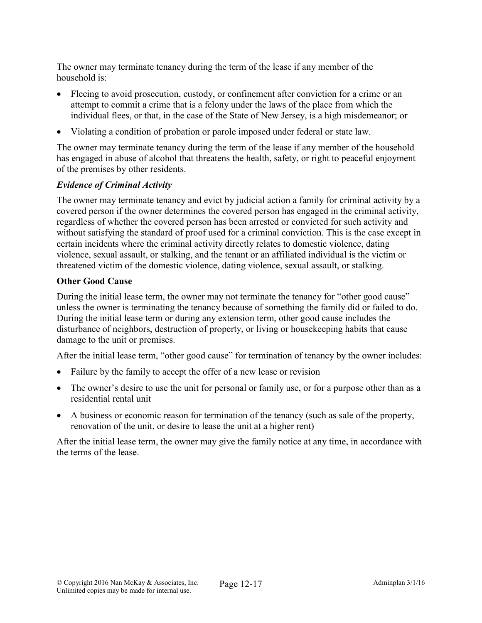The owner may terminate tenancy during the term of the lease if any member of the household is:

- Fleeing to avoid prosecution, custody, or confinement after conviction for a crime or an attempt to commit a crime that is a felony under the laws of the place from which the individual flees, or that, in the case of the State of New Jersey, is a high misdemeanor; or
- Violating a condition of probation or parole imposed under federal or state law.

The owner may terminate tenancy during the term of the lease if any member of the household has engaged in abuse of alcohol that threatens the health, safety, or right to peaceful enjoyment of the premises by other residents.

### *Evidence of Criminal Activity*

The owner may terminate tenancy and evict by judicial action a family for criminal activity by a covered person if the owner determines the covered person has engaged in the criminal activity, regardless of whether the covered person has been arrested or convicted for such activity and without satisfying the standard of proof used for a criminal conviction. This is the case except in certain incidents where the criminal activity directly relates to domestic violence, dating violence, sexual assault, or stalking, and the tenant or an affiliated individual is the victim or threatened victim of the domestic violence, dating violence, sexual assault, or stalking.

#### Other Good Cause

During the initial lease term, the owner may not terminate the tenancy for "other good cause" unless the owner is terminating the tenancy because of something the family did or failed to do. During the initial lease term or during any extension term, other good cause includes the disturbance of neighbors, destruction of property, or living or housekeeping habits that cause damage to the unit or premises.

After the initial lease term, "other good cause" for termination of tenancy by the owner includes:

- Failure by the family to accept the offer of a new lease or revision
- The owner's desire to use the unit for personal or family use, or for a purpose other than as a residential rental unit
- A business or economic reason for termination of the tenancy (such as sale of the property, renovation of the unit, or desire to lease the unit at a higher rent)

After the initial lease term, the owner may give the family notice at any time, in accordance with the terms of the lease.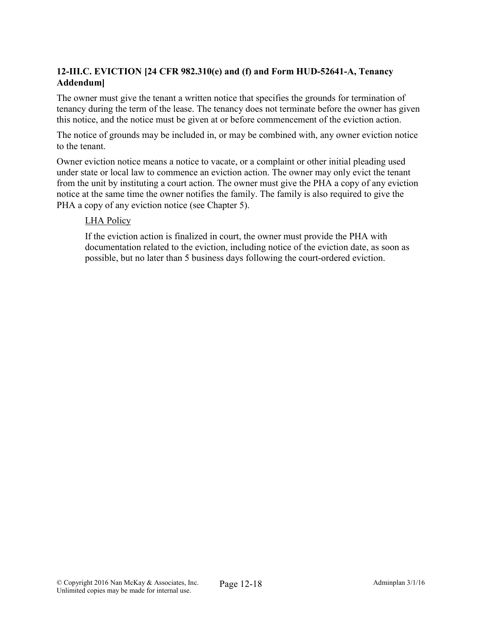# 12-III.C. EVICTION [24 CFR 982.310(e) and (f) and Form HUD-52641-A, Tenancy Addendum]

The owner must give the tenant a written notice that specifies the grounds for termination of tenancy during the term of the lease. The tenancy does not terminate before the owner has given this notice, and the notice must be given at or before commencement of the eviction action.

The notice of grounds may be included in, or may be combined with, any owner eviction notice to the tenant.

Owner eviction notice means a notice to vacate, or a complaint or other initial pleading used under state or local law to commence an eviction action. The owner may only evict the tenant from the unit by instituting a court action. The owner must give the PHA a copy of any eviction notice at the same time the owner notifies the family. The family is also required to give the PHA a copy of any eviction notice (see Chapter 5).

#### LHA Policy

If the eviction action is finalized in court, the owner must provide the PHA with documentation related to the eviction, including notice of the eviction date, as soon as possible, but no later than 5 business days following the court-ordered eviction.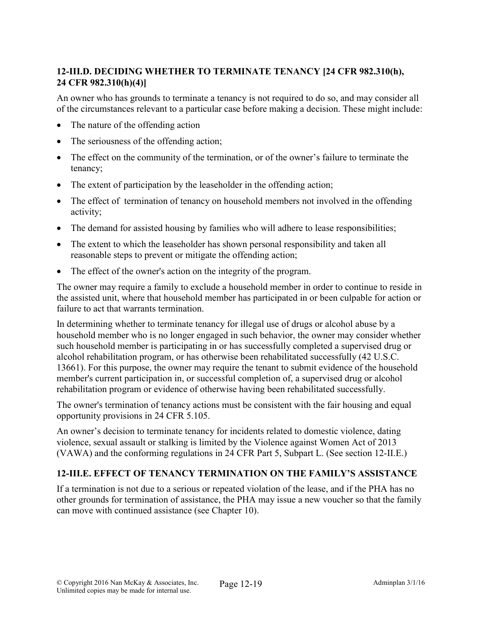# 12-III.D. DECIDING WHETHER TO TERMINATE TENANCY [24 CFR 982.310(h), 24 CFR 982.310(h)(4)]

An owner who has grounds to terminate a tenancy is not required to do so, and may consider all of the circumstances relevant to a particular case before making a decision. These might include:

- The nature of the offending action
- The seriousness of the offending action;
- The effect on the community of the termination, or of the owner's failure to terminate the tenancy;
- The extent of participation by the leaseholder in the offending action;
- The effect of termination of tenancy on household members not involved in the offending activity;
- The demand for assisted housing by families who will adhere to lease responsibilities;
- The extent to which the leaseholder has shown personal responsibility and taken all reasonable steps to prevent or mitigate the offending action;
- The effect of the owner's action on the integrity of the program.

The owner may require a family to exclude a household member in order to continue to reside in the assisted unit, where that household member has participated in or been culpable for action or failure to act that warrants termination.

In determining whether to terminate tenancy for illegal use of drugs or alcohol abuse by a household member who is no longer engaged in such behavior, the owner may consider whether such household member is participating in or has successfully completed a supervised drug or alcohol rehabilitation program, or has otherwise been rehabilitated successfully (42 U.S.C. 13661). For this purpose, the owner may require the tenant to submit evidence of the household member's current participation in, or successful completion of, a supervised drug or alcohol rehabilitation program or evidence of otherwise having been rehabilitated successfully.

The owner's termination of tenancy actions must be consistent with the fair housing and equal opportunity provisions in 24 CFR 5.105.

An owner's decision to terminate tenancy for incidents related to domestic violence, dating violence, sexual assault or stalking is limited by the Violence against Women Act of 2013 (VAWA) and the conforming regulations in 24 CFR Part 5, Subpart L. (See section 12-II.E.)

# 12-III.E. EFFECT OF TENANCY TERMINATION ON THE FAMILY'S ASSISTANCE

If a termination is not due to a serious or repeated violation of the lease, and if the PHA has no other grounds for termination of assistance, the PHA may issue a new voucher so that the family can move with continued assistance (see Chapter 10).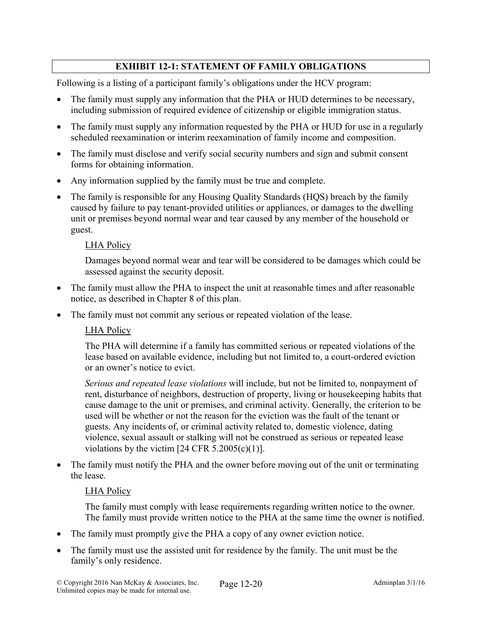# EXHIBIT 12-1: STATEMENT OF FAMILY OBLIGATIONS

Following is a listing of a participant family's obligations under the HCV program:

- The family must supply any information that the PHA or HUD determines to be necessary, including submission of required evidence of citizenship or eligible immigration status.
- The family must supply any information requested by the PHA or HUD for use in a regularly scheduled reexamination or interim reexamination of family income and composition.
- The family must disclose and verify social security numbers and sign and submit consent forms for obtaining information.
- Any information supplied by the family must be true and complete.
- The family is responsible for any Housing Quality Standards (HQS) breach by the family caused by failure to pay tenant-provided utilities or appliances, or damages to the dwelling unit or premises beyond normal wear and tear caused by any member of the household or guest.

#### LHA Policy

Damages beyond normal wear and tear will be considered to be damages which could be assessed against the security deposit.

- The family must allow the PHA to inspect the unit at reasonable times and after reasonable notice, as described in Chapter 8 of this plan.
- The family must not commit any serious or repeated violation of the lease.

#### LHA Policy

The PHA will determine if a family has committed serious or repeated violations of the lease based on available evidence, including but not limited to, a court-ordered eviction or an owner's notice to evict.

*Serious and repeated lease violations* will include, but not be limited to, nonpayment of rent, disturbance of neighbors, destruction of property, living or housekeeping habits that cause damage to the unit or premises, and criminal activity. Generally, the criterion to be used will be whether or not the reason for the eviction was the fault of the tenant or guests. Any incidents of, or criminal activity related to, domestic violence, dating violence, sexual assault or stalking will not be construed as serious or repeated lease violations by the victim  $[24 \text{ CFR } 5.2005(c)(1)].$ 

• The family must notify the PHA and the owner before moving out of the unit or terminating the lease.

#### LHA Policy

The family must comply with lease requirements regarding written notice to the owner. The family must provide written notice to the PHA at the same time the owner is notified.

- The family must promptly give the PHA a copy of any owner eviction notice.
- The family must use the assisted unit for residence by the family. The unit must be the family's only residence.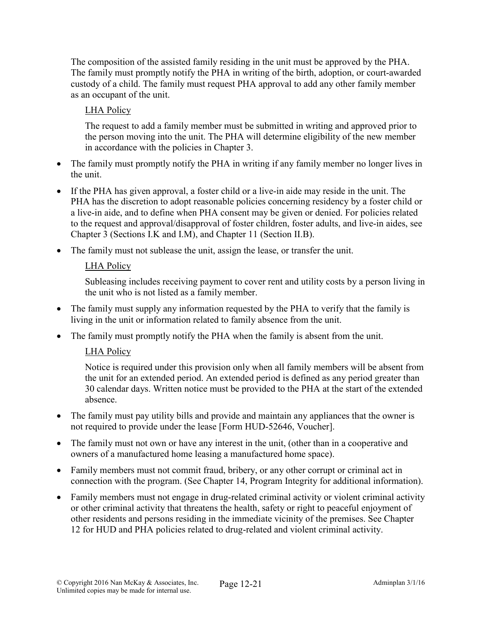The composition of the assisted family residing in the unit must be approved by the PHA. The family must promptly notify the PHA in writing of the birth, adoption, or court-awarded custody of a child. The family must request PHA approval to add any other family member as an occupant of the unit.

# LHA Policy

The request to add a family member must be submitted in writing and approved prior to the person moving into the unit. The PHA will determine eligibility of the new member in accordance with the policies in Chapter 3.

- The family must promptly notify the PHA in writing if any family member no longer lives in the unit.
- If the PHA has given approval, a foster child or a live-in aide may reside in the unit. The PHA has the discretion to adopt reasonable policies concerning residency by a foster child or a live-in aide, and to define when PHA consent may be given or denied. For policies related to the request and approval/disapproval of foster children, foster adults, and live-in aides, see Chapter 3 (Sections I.K and I.M), and Chapter 11 (Section II.B).
- The family must not sublease the unit, assign the lease, or transfer the unit.

# LHA Policy

Subleasing includes receiving payment to cover rent and utility costs by a person living in the unit who is not listed as a family member.

- The family must supply any information requested by the PHA to verify that the family is living in the unit or information related to family absence from the unit.
- The family must promptly notify the PHA when the family is absent from the unit.

# LHA Policy

Notice is required under this provision only when all family members will be absent from the unit for an extended period. An extended period is defined as any period greater than 30 calendar days. Written notice must be provided to the PHA at the start of the extended absence.

- The family must pay utility bills and provide and maintain any appliances that the owner is not required to provide under the lease [Form HUD-52646, Voucher].
- The family must not own or have any interest in the unit, (other than in a cooperative and owners of a manufactured home leasing a manufactured home space).
- Family members must not commit fraud, bribery, or any other corrupt or criminal act in connection with the program. (See Chapter 14, Program Integrity for additional information).
- Family members must not engage in drug-related criminal activity or violent criminal activity or other criminal activity that threatens the health, safety or right to peaceful enjoyment of other residents and persons residing in the immediate vicinity of the premises. See Chapter 12 for HUD and PHA policies related to drug-related and violent criminal activity.